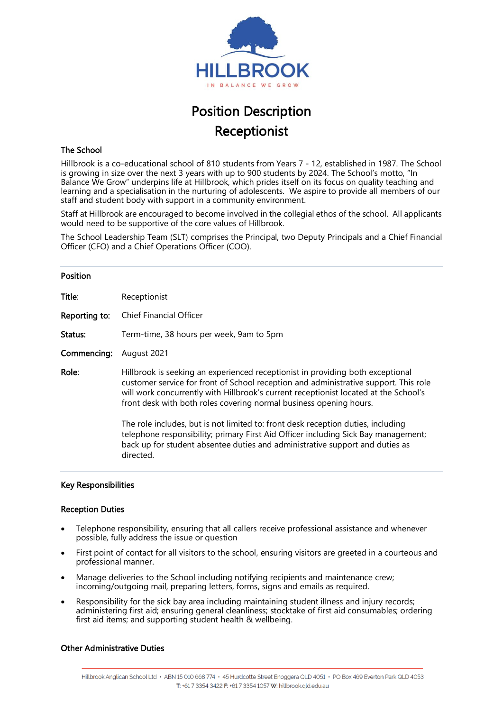

# Position Description Receptionist

# The School

Hillbrook is a co-educational school of 810 students from Years 7 - 12, established in 1987. The School is growing in size over the next 3 years with up to 900 students by 2024. The School's motto, "In Balance We Grow" underpins life at Hillbrook, which prides itself on its focus on quality teaching and learning and a specialisation in the nurturing of adolescents. We aspire to provide all members of our staff and student body with support in a community environment.

Staff at Hillbrook are encouraged to become involved in the collegial ethos of the school. All applicants would need to be supportive of the core values of Hillbrook.

The School Leadership Team (SLT) comprises the Principal, two Deputy Principals and a Chief Financial Officer (CFO) and a Chief Operations Officer (COO).

#### Position

| Title:        | Receptionist                                                                                                                                                                                                                                                                                                                         |
|---------------|--------------------------------------------------------------------------------------------------------------------------------------------------------------------------------------------------------------------------------------------------------------------------------------------------------------------------------------|
| Reporting to: | <b>Chief Financial Officer</b>                                                                                                                                                                                                                                                                                                       |
| Status:       | Term-time, 38 hours per week, 9am to 5pm                                                                                                                                                                                                                                                                                             |
| Commencing:   | August 2021                                                                                                                                                                                                                                                                                                                          |
| Role:         | Hillbrook is seeking an experienced receptionist in providing both exceptional<br>customer service for front of School reception and administrative support. This role<br>will work concurrently with Hillbrook's current receptionist located at the School's<br>front desk with both roles covering normal business opening hours. |
|               | The role includes, but is not limited to: front desk reception duties, including<br>telephone responsibility; primary First Aid Officer including Sick Bay management;<br>back up for student absentee duties and administrative support and duties as<br>directed.                                                                  |

### Key Responsibilities

### Reception Duties

- Telephone responsibility, ensuring that all callers receive professional assistance and whenever possible, fully address the issue or question
- First point of contact for all visitors to the school, ensuring visitors are greeted in a courteous and professional manner.
- Manage deliveries to the School including notifying recipients and maintenance crew; incoming/outgoing mail, preparing letters, forms, signs and emails as required.
- Responsibility for the sick bay area including maintaining student illness and injury records; administering first aid; ensuring general cleanliness; stocktake of first aid consumables; ordering first aid items; and supporting student health & wellbeing.

### Other Administrative Duties